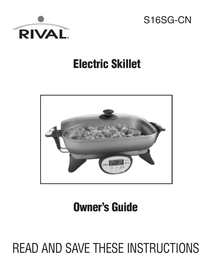



## **Electric Skillet**



# **Owner's Guide**

# READ AND SAVE THESE INSTRUCTIONS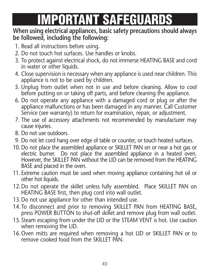# **IMPORTANT SAFEGUARDS**

#### **When using electrical appliances, basic safety precautions should always be followed, including the following:**

- 1. Read all instructions before using.
- 2. Do not touch hot surfaces. Use handles or knobs.
- 3. To protect against electrical shock, do not immerse HEATING BASE and cord in water or other liquids.
- 4. Close supervision is necessary when any appliance is used near children. This appliance is not to be used by children.
- 5. Unplug from outlet when not in use and before cleaning. Allow to cool before putting on or taking off parts, and before cleaning the appliance.
- 6. Do not operate any appliance with a damaged cord or plug or after the appliance malfunctions or has been damaged in any manner. Call Customer Service (see warranty) to return for examination, repair, or adjustment.
- 7. The use of accessory attachments not recommended by manufacturer may cause injuries.
- 8. Do not use outdoors.
- 9. Do not let cord hang over edge of table or counter, or touch heated surfaces.
- 10. Do not place the assembled appliance or SKILLET PAN on or near a hot gas or electric burner. Do not place the assembled appliance in a heated oven. However, the SKILLET PAN without the LID can be removed from the HEATING BASE and placed in the oven.
- 11. Extreme caution must be used when moving appliance containing hot oil or other hot liquids.
- 12.Do not operate the skillet unless fully assembled. Place SKILLET PAN on HEATING BASE first, then plug cord into wall outlet.
- 13.Do not use appliance for other than intended use.
- 14.To disconnect and prior to removing SKILLET PAN from HEATING BASE, press POWER BUTTON to shut-off skillet and remove plug from wall outlet.
- 15. Steam escaping from under the LID or the STEAM VENT is hot. Use caution when removing the LID.
- 16.Oven mitts are required when removing a hot LID or SKILLET PAN or to remove cooked food from the SKILLET PAN.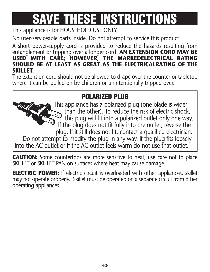# **SAVE THESE INSTRUCTIONS**

This appliance is for HOUSEHOLD USE ONLY.

No user-serviceable parts inside. Do not attempt to service this product.

A short power-supply cord is provided to reduce the hazards resulting from entanglement or tripping over a longer cord. **AN EXTENSION CORD MAY BE USED WITH CARE; HOWEVER, THE MARKEDELECTRICAL RATING SHOULD BE AT LEAST AS GREAT AS THE ELECTRICALRATING OF THE SKILLET.**

The extension cord should not be allowed to drape over the counter or tabletop where it can be pulled on by children or unintentionally tripped over.

### **POLARIZED PLUG**

This appliance has a polarized plug (one blade is wider than the other). To reduce the risk of electric shock, this plug will fit into a polarized outlet only one way. If the plug does not fit fully into the outlet, reverse the plug. If it still does not fit, contact a qualified electrician. Do not attempt to modify the plug in any way. If the plug fits loosely into the AC outlet or if the AC outlet feels warm do not use that outlet.

**CAUTION:** Some countertops are more sensitive to heat, use care not to place SKILLET or SKILLET PAN on surfaces where heat may cause damage.

**ELECTRIC POWER:** If electric circuit is overloaded with other appliances, skillet may not operate properly. Skillet must be operated on a separate circuit from other operating appliances.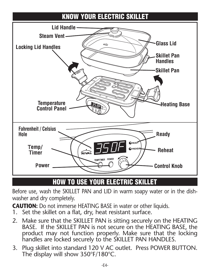

### **HOW TO USE YOUR ELECTRIC SKILLET**

Before use, wash the SKILLET PAN and LID in warm soapy water or in the dishwasher and dry completely.

**CAUTION:** Do not immerse HEATING BASE in water or other liquids.

- 1. Set the skillet on a flat, dry, heat resistant surface.
- 2. Make sure that the SKILLET PAN is sitting securely on the HEATING BASE. If the SKILLET PAN is not secure on the HEATING BASE, the product may not function properly. Make sure that the locking handles are locked securely to the SKILLET PAN HANDLES.
- 3. Plug skillet into standard 120 V AC outlet. Press POWER BUTTON. The display will show 350°F/180°C.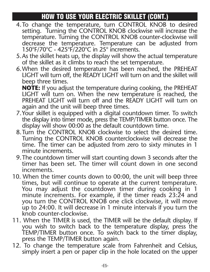### **HOW TO USE YOUR ELECTRIC SKILLET (CONT.)**

- 4.To change the temperature, turn CONTROL KNOB to desired setting. Turning the CONTROL KNOB clockwise will increase the temperature. Turning the CONTROL KNOB counter-clockwise will decrease the temperature. Temperature can be adjusted from 150°F/70°C - 425°F/220°C in 25° increments.
- 5.As the skillet heats up, the display will show the actual temperature of the skillet as it climbs to reach the set temperature.
- 6.When the desired temperature has been reached, the PREHEAT LIGHT will turn off, the READY LIGHT will turn on and the skillet will beep three times.

**NOTE:** If you adjust the temperature during cooking, the PREHEAT LIGHT will turn on. When the new temperature is reached, the PREHEAT LIGHT will turn off and the READY LIGHT will turn on again and the unit will beep three times.

- 7.Your skillet is equipped with a digital countdown timer. To switch the display into timer mode, press the TEMP/TIMER button once. The display will show 00:00 as the default countdown time.
- 8.Turn the CONTROL KNOB clockwise to select the desired time. Turning the CONTROL KNOB counterclockwise will decrease the time. The timer can be adjusted from zero to sixty minutes in 1 minute increments.
- 9.The countdown timer will start counting down 3 seconds after the timer has been set. The timer will count down in one second increments.
- 10. When the timer counts down to 00:00, the unit will beep three You may adjust the countdown timer during cooking in 1 minute increments. For example, if the timer reads 23:24 and you turn the CONTROL KNOB one click clockwise, it will move up to 24:00. It will decrease in 1 minute intervals if you turn the knob counter-clockwise.
- 11. When the TIMER is used, the TIMER will be the default display. If you wish to switch back to the temperature display, press the TEMP/TIMER button once. To switch back to the timer display, press the TEMP/TIMER button again.
- 12. To change the temperature scale from Fahrenheit and Celsius, simply insert a pen or paper clip in the hole located on the upper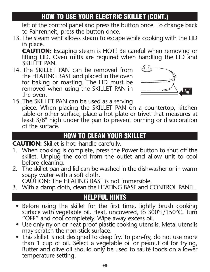### **HOW TO USE YOUR ELECTRIC SKILLET (CONT.)**

left of the control panel and press the button once. To change back to Fahrenheit, press the button once.

13. The steam vent allows steam to escape while cooking with the LID in place.

**CAUTION:** Escaping steam is HOT! Be careful when removing or lifting LID. Oven mitts are required when handling the LID and SKII I FT PAN.

14. The SKILLET PAN can be removed from the HEATING BASE and placed in the oven for baking or roasting. The LID must be removed when using the SKILLET PAN in the oven.



15. The SKILLET PAN can be used as a serving piece. When placing the SKILLET PAN on a countertop, kitchen table or other surface, place a hot plate or trivet that measures at least 3/8" high under the pan to prevent burning or discoloration<br>of the surface.

#### **HOW TO CLEAN YOUR SKILLET**

#### **CAUTION:** Skillet is hot: handle carefully.

- 1. When cooking is complete, press the Power button to shut off the skillet. Unplug the cord from the outlet and allow unit to cool before cleaning.
- 2. The skillet pan and lid can be washed in the dishwasher or in warm soapy water with a soft cloth. CAUTION: The HEATING BASE is not immersible.
- 3. With a damp cloth, clean the HEATING BASE and CONTROL PANEL.

### **HELPFUL HINTS**

- Before using the skillet for the first time, lightly brush cooking surface with vegetable oil. Heat, uncovered, to 300°F/150°C. Turn "OFF" and cool completely. Wipe away excess oil.<br>• Use only nylon or heat-proof plastic cooking utensils. Metal utensils
- may scratch the non-stick surface.
- This skillet is not designed to deep fry. To pan-fry, do not use more than 1 cup of oil. Select a vegetable oil or peanut oil for frying, Butter and olive oil should only be used to sauté foods on a lower temperature setting.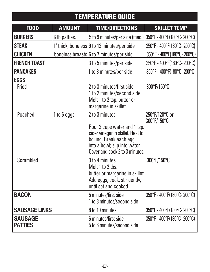### **TEMPERATURE GUIDE**

| <b>FOOD</b>                      | <b>AMOUNT</b>   | <b>TIME/DIRECTIONS</b>                                                                                                                                          | <b>SKILLET TEMP.</b>          |
|----------------------------------|-----------------|-----------------------------------------------------------------------------------------------------------------------------------------------------------------|-------------------------------|
| <b>BURGERS</b>                   | 1/4 lb patties. | 5 to 9 minutes/per side (med.)                                                                                                                                  | 350°F - 400°F(180°C-200°C)    |
| <b>STEAK</b>                     |                 | 1" thick, boneless 9 to 12 minutes/per side                                                                                                                     | 350°F - 400°F(180°C-200°C)    |
| <b>CHICKEN</b>                   |                 | boneless breasts 6 to 7 minutes/per side                                                                                                                        | 350°F - 400°F(180°C-200°C)    |
| <b>FRENCH TOAST</b>              |                 | 3 to 5 minutes/per side                                                                                                                                         | 350°F - 400°F(180°C-200°C)    |
| <b>PANCAKES</b>                  |                 | 1 to 3 minutes/per side                                                                                                                                         | 350°F - 400°F(180°C-200°C)    |
| <b>EGGS</b><br>Fried             |                 | 2 to 3 minutes/first side<br>1 to 2 minutes/second side<br>Melt 1 to 2 tsp. butter or<br>margarine in skillet                                                   | 300°F/150°C                   |
| Poached                          | 1 to 6 eggs     | 2 to 3 minutes                                                                                                                                                  | 250°F/120°C or<br>300°F/150°C |
|                                  |                 | Pour 2 cups water and 1 tsp.<br>cider vinegar in skillet. Heat to<br>boiling. Break each egg<br>into a bowl; slip into water.<br>Cover and cook 2 to 3 minutes. |                               |
| Scrambled                        |                 | 3 to 4 minutes<br>Melt 1 to 2 tbs.<br>butter or margarine in skillet.<br>Add eggs, cook, stir gently,<br>until set and cooked.                                  | 300°F/150°C                   |
| <b>BACON</b>                     |                 | 5 minutes/first side<br>1 to 3 minutes/second side                                                                                                              | 350°F - 400°F(180°C-200°C)    |
| <b>SAUSAGE LINKS</b>             |                 | 8 to 10 minutes                                                                                                                                                 | 350°F - 400°F(180°C-200°C)    |
| <b>SAUSAGE</b><br><b>PATTIES</b> |                 | 6 minutes/first side<br>5 to 6 minutes/second side                                                                                                              | 350°F - 400°F(180°C-200°C)    |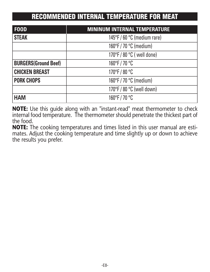### **RECOMMENDED INTERNAL TEMPERATURE FOR MEAT**

| <b>FOOD</b>                 | <b>MININUM INTERNAL TEMPERATURE</b> |
|-----------------------------|-------------------------------------|
| <b>STEAK</b>                | 145°F / 60 °C (medium rare)         |
|                             | 160°F / 70 °C (medium)              |
|                             | 170°F / 80 °C ( well done)          |
| <b>BURGERS(Ground Beef)</b> | 160°F/70 °C                         |
| <b>CHICKEN BREAST</b>       | 170°F/80 °C                         |
| <b>PORK CHOPS</b>           | 160°F / 70 °C (medium)              |
|                             | 170°F / 80 °C (well down)           |
| <b>HAM</b>                  | 160°F/70 °C                         |

**NOTE:** Use this guide along with an "instant-read" meat thermometer to check internal food temperature. The thermometer should penetrate the thickest part of the food.

**NOTE:** The cooking temperatures and times listed in this user manual are estimates. Adjust the cooking temperature and time slightly up or down to achieve the results you prefer.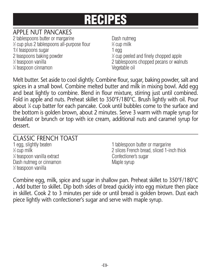#### APPLE NUT PANCAKES

2 tablespoons butter or margarine **Dash nutmeguares** Dash nutmeguares  $\frac{1}{2}$  cup plus 2 tablespoons all-purpose flour  $\frac{2}{3}$ 1<sup>1</sup>/<sub>2</sub> teaspoons sugar 1 egg 1 egg 1 egg 1 egg 1 egg 1 egg 1 egg 1 egg 1 egg 1 egg 1 egg 1 egg 1 egg 1 egg 1 egg 1 egg 1 egg 1 egg 1 egg 1 egg 1 egg 1 egg 1 egg 1 egg 1 egg 1 egg 1 egg 1 egg 1 egg 1 egg 1 egg 1 egg 1 egg 2 teaspoons baking powder 1/2 teaspoon vanilla 1 ⁄4 teaspoon cinnamon Vegetable oil

⁄3 cup milk ⁄2 cup peeled and finely chopped apple 2 tablespoons chopped pecans or walnuts

Melt butter. Set aside to cool slightly. Combine flour, sugar, baking powder, salt and spices in a small bowl. Combine melted butter and milk in mixing bowl. Add egg and beat lightly to combine. Blend in flour mixture, stirring just until combined. Fold in apple and nuts. Preheat skillet to 350°F/180°C. Brush lightly with oil. Pour about <sup>1</sup> ⁄4 cup batter for each pancake. Cook until bubbles come to the surface and the bottom is golden brown, about 2 minutes. Serve 3 warm with maple syrup for breakfast or brunch or top with ice cream, additional nuts and caramel syrup for dessert.

## CLASSIC FRENCH TOAST<br>1 egg, slightly beaten

 $%$  cup milk <sup>1/4</sup> teaspoon vanilla extract confectioner's sugar Dash nutmeg or cinnamon metal was made a Maple syrup 1 ⁄2 teaspoon vanilla

1 tablespoon butter or margarine 2 slices French bread, sliced 1-inch thick

Combine egg, milk, spice and sugar in shallow pan. Preheat skillet to 350°F/180°C . Add butter to skillet. Dip both sides of bread quickly into egg mixture then place in skillet. Cook 2 to 3 minutes per side or until bread is golden brown. Dust each piece lightly with confectioner's sugar and serve with maple syrup.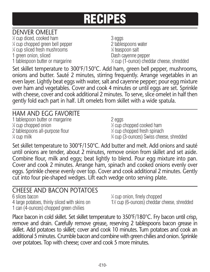#### DENVER OMELET

⁄2 cup diced, cooked ham 3 eggs 1 ⁄4 cup chopped green bell pepper 2 tablespoons water 1 ⁄4 cup sliced fresh mushrooms <sup>1</sup> 1 green onion, sliced Dash cayenne pepper 1 tablespoon butter or margarine

⁄8 teaspoon salt ⁄3 cup (1-ounce) cheddar cheese, shredded

Set skillet temperature to 300°F/150°C. Add ham, green bell pepper, mushrooms, onions and butter. Sauté 2 minutes, stirring frequently. Arrange vegetables in an even layer. Lightly beat eggs with water, salt and cayenne pepper; pour egg mixture over ham and vegetables. Cover and cook 4 minutes or until eggs are set. Sprinkle with cheese, cover and cook additional 2 minutes. To serve, slice omelet in half then gently fold each part in half. Lift omelets from skillet with a wide spatula.

#### HAM AND EGG FAVORITE

1 tablespoon butter or margarine 2 eggs  $\frac{1}{4}$  cup chopped onion 1 2 tablespoons all-purpose flour  $\frac{1}{4}$  cup milk  $\frac{3}{4}$ 

⁄2 cup chopped cooked ham ⁄2 cup chopped fresh spinach ⁄4 cup (3-ounces) Swiss cheese, shredded

Set skillet temperature to 300°F/150°C. Add butter and melt. Add onions and sauté until onions are tender, about 2 minutes, remove onion from skillet and set aside. Combine flour, milk and eggs; beat lightly to blend. Pour egg mixture into pan. Cover and cook 2 minutes. Arrange ham, spinach and cooked onions evenly over eggs. Sprinkle cheese evenly over top. Cover and cook additional 2 minutes. Gently cut into four pie-shaped wedges. Lift each wedge onto serving plate.

#### CHEESE AND BACON POTATOES

6 slices bacon <sup>1</sup> 4 large potatoes, thinly sliced with skins on 1 can (4-ounces) chopped green chilies

⁄4 cup onion, finely chopped ⁄2 cup (6-ounces) cheddar cheese, shredded

Place bacon in cold skillet. Set skillet temperature to 350°F/180°C. Fry bacon until crisp, remove and drain. Carefully remove grease, reserving 2 tablespoons bacon grease in skillet. Add potatoes to skillet; cover and cook 10 minutes. Turn potatoes and cook an additional 5 minutes. Crumble bacon and combine with green chilies and onion. Sprinkle over potatoes. Top with cheese; cover and cook 5 more minutes.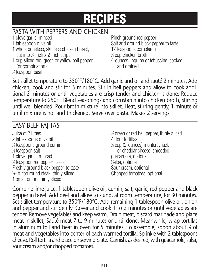## PASTA WITH PEPPERS AND CHICKEN<br>1 clove garlic, minced

- 
- 
- 1 whole boneless, skinless chicken breast. cut into  $\frac{1}{2}$ -inch x 2-inch strips  $\frac{3}{2}$
- 1 cup sliced red, green or yellow bell pepper 4-ounces linguine or fettuccine, cooked (or combination) and drained

1 ⁄2 teaspoon basil

Pinch ground red pepper 1 tablespoon olive oil Salt and ground black pepper to taste ⁄2 teaspoons cornstarch ⁄4 cup chicken broth

Set skillet temperature to 350°F/180°C. Add garlic and oil and sauté 2 minutes. Add chicken; cook and stir for 5 minutes. Stir in bell peppers and allow to cook additional 2 minutes or until vegetables are crisp tender and chicken is done. Reduce temperature to 250°F. Blend seasonings and cornstarch into chicken broth, stirring until well blended. Pour broth mixture into skillet. Heat, stirring gently, 1 minute or until mixture is hot and thickened. Serve over pasta. Makes 2 servings.

### EASY BEEF FAJITAS

Juice of 2 limes 2 tablespoons olive oil 4 flour tortillas  $\frac{1}{2}$  teaspoons ground cumin  $\frac{1}{2}$ 1/<sub>4</sub> teaspoon salt 1 clove garlic, minced and guacamole, optional % teaspoon red pepper flakes Salsa, optional Freshly ground black pepper, to taste Sour cream, optional 3 ⁄4-lb. top round steak, thinly sliced Chopped tomatoes, optional 1 small onion, thinly sliced

⁄2 green or red bell pepper, thinly sliced ⁄2 cup (2-ounces) monterey jack or cheddar cheese, shredded

Combine lime juice, 1 tablespoon olive oil, cumin, salt, garlic, red pepper and black pepper in bowl. Add beef and allow to stand, at room temperature, for 30 minutes. Set skillet temperature to 350°F/180°C. Add remaining 1 tablespoon olive oil, onion and pepper and stir gently. Cover and cook 1 to 2 minutes or until vegetables are tender. Remove vegetables and keep warm. Drain meat, discard marinade and place meat in skillet, Sauté meat 7 to 9 minutes or until done. Meanwhile, wrap tortillas in aluminum foil and heat in oven for 5 minutes. To assemble, spoon about <sup>1</sup> ⁄4 of meat and vegetables into center of each warmed tortilla. Sprinkle with 2 tablespoons cheese. Roll tortilla and place on serving plate. Garnish, as desired, with guacamole, salsa, sour cream and/or chopped tomatoes.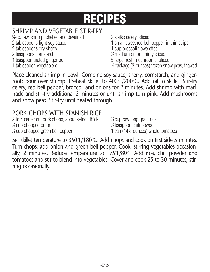#### SHRIMP AND VEGETABLE STIR-FRY

⁄4-lb. raw, shrimp, shelled and deveined 2 stalks celery, sliced 2 tablespoons dry sherry 1 cup broccoli flowerettes 2 teaspoons cornstarch <sup>1</sup> 1 teaspoon grated gingerroot 5 large fresh mushrooms, sliced

1 tablespoon vegetable oil

2 tablespoons light soy sauce 1 small sweet red bell pepper, in thin strips

⁄2 medium onion, thinly sliced

⁄2 package(3-ounces) frozen snow peas, thawed

Place cleaned shrimp in bowl. Combine soy sauce, sherry, cornstarch, and gingerroot; pour over shrimp. Preheat skillet to 400°F/200°C. Add oil to skillet. Stir-fry celery, red bell pepper, broccoli and onions for 2 minutes. Add shrimp with marinade and stir-fry additional 2 minutes or until shrimp turn pink. Add mushrooms and snow peas. Stir-fry until heated through.

| PORK CHOPS WITH SPANISH RICE                     |                                         |
|--------------------------------------------------|-----------------------------------------|
| 2 to 4 center cut pork chops, about ½-inch thick | 1/ <sub>2</sub> cup raw long grain rice |
| % cup chopped onion                              | ½ teaspoon chili powder                 |
| X cup chopped green bell pepper                  | 1 can (14½-ounces) whole tomatoes       |

Set skillet temperature to 350°F/180°C. Add chops and cook on first side 5 minutes. Turn chops; add onion and green bell pepper. Cook, stirring vegetables occasionally, 2 minutes. Reduce temperature to 175°F/80°F. Add rice, chili powder and tomatoes and stir to blend into vegetables. Cover and cook 25 to 30 minutes, stirring occasionally.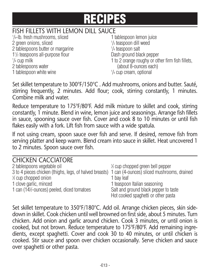## FISH FILLETS WITH LEMON DILL SAUCE<br>1/4-lb. fresh mushrooms. sliced<br>1 tablespoon lemon juice

1/<sub>4</sub>-lb. fresh mushrooms, sliced 2 green onions, sliced 2 tablespoons butter or margarine 11 /2 teaspoons all-purpose flour Dash ground black pepper  $1/4$  cup milk 2 tablespoons water (about 8-ounces each) 1 tablespoon white wine

1/<sub>3</sub> teaspoon dill weed /4 teaspoon salt 1 to 2 orange roughy or other firm fish fillets.  $\frac{1}{4}$  cup cream, optional

Set skillet temperature to 300°F/150°C . Add mushrooms, onions and butter. Sauté, stirring frequently, 2 minutes. Add flour; cook, stirring constantly, 1 minutes. Combine milk and water.

Reduce temperature to 175°F/80°F. Add milk mixture to skillet and cook, stirring constantly, 1 minute. Blend in wine, lemon juice and seasonings. Arrange fish fillets in sauce, spooning sauce over fish. Cover and cook 8 to 10 minutes or until fish flakes easily with a fork. Lift fish from sauce with a wide spatula.

If not using cream, spoon sauce over fish and serve. If desired, remove fish from serving platter and keep warm. Blend cream into sauce in skillet. Heat uncovered 1 to 2 minutes. Spoon sauce over fish.

| <b>CHICKEN CACCIATORE</b>                                                                          |                                       |
|----------------------------------------------------------------------------------------------------|---------------------------------------|
| 2 tablespoons vegetable oil                                                                        | % cup chopped green bell pepper       |
| 3 to 4 pieces chicken (thighs, legs, of halved breasts) 1 can (4-ounces) sliced mushrooms, drained |                                       |
| % cup chopped onion                                                                                | 1 bay leaf                            |
| 1 clove garlic, minced                                                                             | 1 teaspoon Italian seasoning          |
| 1 can (14½-ounces) peeled, diced tomatoes                                                          | Salt and ground black pepper to taste |
|                                                                                                    | Hot cooked spaghetti or other pasta   |

Set skillet temperature to 350°F/180°C. Add oil. Arrange chicken pieces, skin sidedown in skillet. Cook chicken until well browned on first side, about 5 minutes. Turn chicken. Add onion and garlic around chicken. Cook 3 minutes, or until onion is cooked, but not brown. Reduce temperature to 175°F/80°F. Add remaining ingredients, except spaghetti. Cover and cook 30 to 40 minutes, or until chicken is cooked. Stir sauce and spoon over chicken occasionally. Serve chicken and sauce over spaghetti or other pasta.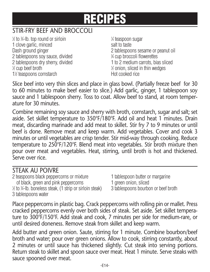### STIR-FRY REFE AND BROCCOLL

 $\frac{1}{2}$  to  $\frac{3}{4}$ -lb. top round or sirloin  $\frac{1}{2}$ 1 clove garlic, minced salt to taste 2 tablespoons soy sauce, divided  $\frac{1}{2}$  cup beef broth 1 1% teaspoons cornstarch https://www.facebooked.cooked.cooked.cooked.cooked.cooked

⁄4 teaspoon sugar Dash ground ginger 2 tablespoons sesame or peanut oil ⁄4 cup broccoli flowerettes 2 tablespoons dry sherry, divided 1 to 2 medium carrots, bias sliced ⁄2 onion, sliced in thin wedges

Slice beef into very thin slices and place in glass bowl. (Partially freeze beef for 30 to 60 minutes to make beef easier to slice.) Add garlic, ginger, 1 tablespoon soy sauce and 1 tablespoon sherry. Toss to coat. Allow beef to stand, at room temperature for 30 minutes.

Combine remaining soy sauce and sherry with broth, cornstarch, sugar and salt; set aside. Set skillet temperature to 350°F/180°F. Add oil and heat 1 minutes. Drain meat, discarding marinade and add meat to skillet. Stir fry 7 to 9 minutes or until beef is done. Remove meat and keep warm. Add vegetables. Cover and cook 3 minutes or until vegetables are crisp tender. Stir mid-way through cooking. Reduce temperature to 250°F/120°F. Blend meat into vegetables. Stir broth mixture then pour over meat and vegetables. Heat, stirring, until broth is hot and thickened. Serve over rice.

#### STEAK AU POIVRE

2 teaspoons black peppercorns or mixture 1 tablespoon butter or margarine of black, green and pink peppercorns 1 green onion, sliced 1 ⁄2 to <sup>3</sup> ⁄4-lb. boneless steak, (1 strip or sirloin steak) 3 tablespoons bourbon or beef broth 3 tablespoons water

- 
- 
- 

Place peppercorns in plastic bag. Crack peppercorns with rolling pin or mallet. Press cracked peppercorns evenly over both sides of steak. Set aside. Set skillet temperature to 300°F/150°F. Add steak and cook, 7 minutes per side for medium-rare, or until desired doneness. Remove steak from skillet and keep warm.

Add butter and green onion. Saute, stirring for 1 minute. Combine bourbon/beef broth and water; pour over green onions. Allow to cook, stirring constantly, about 2 minutes or until sauce has thickened slightly. Cut steak into serving portions. Return steak to skillet and spoon sauce over meat. Heat 1 minute. Serve steaks with sauce spooned over meat.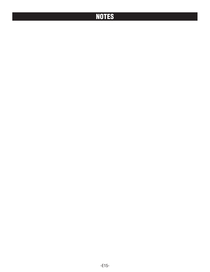### **NOTES**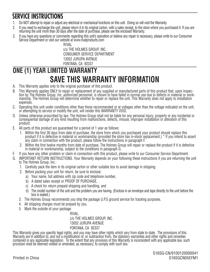### **SERVICE INSTRUCTIONS**

- 1. Do NOT attempt to repair or adjust any electrical or mechanical functions on this unit. Doing so will void the Warranty.
- 2. If you need to exchange the unit, please return it in its original carton, with a sales receipt, to the store where you purchased it. If you are returning the unit more than 30 days after the date of purchase, please see the enclosed Warranty.
- 3. If you have any questions or comments regarding this unit's operation or believe any repair is necessary, please write to our Consumer Service Department or visit our website at www.rivalproducts.com

RIVAL c/o THE HOLMES GROUP, INC. CONSUMER SERVICE DEPARTMENT 13052 JURUPA AVENUE FONTANA, CA 92337

### **ONE (1) YEAR LIMITED WARRANTY SAVE THIS WARRANTY INFORMATION**

- A. This Warranty applies only to the original purchaser of this product.
- B. This Warranty applies ONLY to repair or replacement of any supplied or manufactured parts of this product that, upon inspec tion by The Holmes Group, Inc. authorized personnel, is shown to have failed in normal use due to defects in material or work manship. The Holmes Group will determine whether to repair or replace the unit. This Warranty does not apply to installation expenses.
- C. Operating this unit under conditions other than those recommended or at voltages other than the voltage indicated on the unit, or attempting to service or modify the unit, will render this WARRANTY VOID.
- D. Unless otherwise proscribed by law, The Holmes Group shall not be liable for any personal injury, property or any incidental or consequential damage of any kind resulting from malfunctions, defects, misuse, improper installation or alteration of this product.
- E. All parts of this product are guaranteed for a period of 1 year as follows:
	- 1. Within the first 30 days from date of purchase, the store from which you purchased your product should replace this product if it is defective in material or workmanship (provided the store has in-stock replacement.) \* If you intend to assert any claim in connection with the product, please follow the instructions in paragraph F.
	- 2. Within the first twelve months from date of purchase, The Holmes Group will repair or replace the product if it is defective in material or workmanship, subject to the conditions in paragraph G.
- F. If you have any other problem or claim in connection with this product, please write to our Consumer Service Department.
- G. IMPORTANT RETURN INSTRUCTIONS. Your Warranty depends on your following these instructions if you are returning the unit to The Holmes Group, Inc.:
	- 1. Carefully pack the item in its original carton or other suitable box to avoid damage in shipping.
	- 2. Before packing your unit for return, be sure to enclose:
		- a) Your name, full address with zip code and telephone number,
		- b) A dated sales receipt or PROOF OF PURCHASE
		- c) A check for return prepaid shipping and handling, and
		- d) The model number of the unit and the problem you are having. (Enclose in an envelope and tape directly to the unit before the box is sealed.)
	- 3. The Holmes Group recommends you ship the package U.P.S ground service for tracking purposes.
	- 4. All shipping charges must be prepaid by you.
	- 5. Mark the outside of your package:

RIVAL c/o THE HOLMES GROUP, INC. 13052 JURUPA AVENUE FONTANA, CA 92337

This Warranty gives you specific legal rights, and you may have other rights which vary from state to state. The provisions of this Warranty are in addition to, and not a modification of, or subtraction from, the statutory warranties and other rights and remedies contained in any applicable legislation. To the extent that any provision of this Warranty is inconsistent with any applicable law, such provision shall be deemed voided or amended, as necessary, to comply with such law.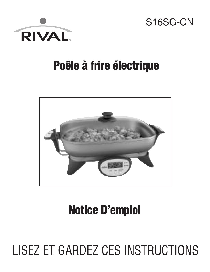

S16SG-CN

# **Poêle à frire électrique**



# **Notice D'emploi**

# LISEZ ET GARDEZ CES INSTRUCTIONS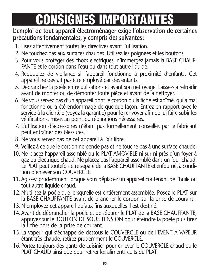# **CONSIGNES IMPORTANTES**

#### **L'emploi de tout appareil électroménager exige l'observation de certaines précautions fondamentales, y compris des suivantes:**

- 1. Lisez attentivement toutes les directives avant l'utilisation.
- 2. Ne touchez pas aux surfaces chaudes. Utilisez les poignées et les boutons.
- 3. Pour vous protéger des chocs électriques, n'immergez jamais la BASE CHAUF-FANTE et le cordon dans l'eau ou dans tout autre liquide.
- 4. Redoublez de vigilance si l'appareil fonctionne à proximité d'enfants. Cet appareil ne devrait pas être employé par des enfants.
- 5. Débranchez la poêle entre utilisations et avant son nettoyage. Laissez-la refroidir avant de monter ou de démonter toute pièce et avant de la nettoyer.
- 6. Ne vous servez pas d'un appareil dont le cordon ou la fiche est abîmé, qui a mal fonctionné ou a été endommagé de quelque façon. Entrez en rapport avec le service à la clientèle (voyez la garantie) pour le renvoyer afin de lui faire subir les vérifications, mises au point ou réparations nécessaires.
- 7. L'utilisation d'accessoires n'étant pas formellement conseillés par le fabricant peut entraîner des blessures.
- 8. Ne vous servez pas de cet appareil à l'air libre.
- 9. Veillez à ce que le cordon ne pende pas et ne touche pas à une surface chaude.
- 10. Ne placez l'appareil assemblé ou le PLAT AMOVIBLE ni sur ni près d'un foyer à gaz ou électrique chaud. Ne placez pas l'appareil assemblé dans un four chaud. Le PLAT peut toutefois être séparé de la BASE CHAUFFANTE et enfourné, à condition d'enlever son COUVERCLE.
- 11. Agissez prudemment lorsque vous déplacez un appareil contenant de l'huile ou tout autre liquide chaud.
- 12.N'utilisez la poêle que lorsqu'elle est entièrement assemblée. Posez le PLAT sur la BASE CHAUFFANTE avant de brancher le cordon sur la prise de courant.
- 13.N'employez cet appareil qu'aux fins auxquelles il est destiné.
- 14.Avant de débrancher la poêle et de séparer le PLAT de la BASE CHAUFFANTE, appuyez sur le BOUTON DE SOUS TENSION pour éteindre la poêle puis tirez la fiche hors de la prise de courant.
- 15. La vapeur qui s'échappe de dessous le COUVERCLE ou de l'ÉVENT À VAPEUR étant très chaude, retirez prudemment le COUVERCLE.
- 16.Portez toujours des gants de cuisinier pour enlever le COUVERCLE chaud ou le PLAT CHAUD ainsi que pour retirer les aliments cuits du PLAT.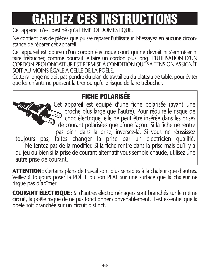# **GARDEZ CES INSTRUCTIONS**

Cet appareil n'est destiné qu'à l'EMPLOI DOMESTIQUE.

Ne contient pas de pièces que puisse réparer l'utilisateur. N'essayez en aucune circon stance de réparer cet appareil.

Cet appareil est pourvu d'un cordon électrique court qui ne devrait ni s'emmêler ni faire trébucher, comme pourrait le faire un cordon plus long. L'UTILISATION D'UN CORDON PROLONGATEUR EST PERMISE À CONDITION QUE SA TENSION ASSIGNÉE SOIT AU MOINS ÉGALE À CELLE DE LA POÊLE.

Cette rallonge ne doit pas pendre du plan de travail ou du plateau de table, pour éviter que les enfants ne puissent la tirer ou qu'elle risque de faire trébucher.

### **FICHE POLARISÉE**

Cet appareil est équipé d'une fiche polarisée (ayant une broche plus large que l'autre). Pour réduire le risque de choc électrique, elle ne peut être insérée dans les prises de courant polarisées que d'une façon. Si la fiche ne rentre pas bien dans la prise, inversez-la. Si vous ne réussissez toujours pas, faites changer la prise par un électricien qualifié. Ne tentez pas de la modifier. Si la fiche rentre dans la prise mais qu'il y a du jeu ou bien si la prise de courant alternatif vous semble chaude, utilisez une autre prise de courant.

**ATTENTION:** Certains plans de travail sont plus sensibles à la chaleur que d'autres. Veillez à toujours poser la POÊLE ou son PLAT sur une surface que la chaleur ne risque pas d'abîmer.

**COURANT ÉLECTRIQUE:** Si d'autres électroménagers sont branchés sur le même circuit, la poêle risque de ne pas fonctionner convenablement. Il est essentiel que la poêle soit branchée sur un circuit distinct.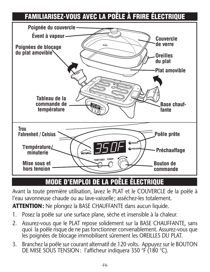## **FAMILIARISEZ-VOUS AVEC LA POÊLE À FRIRE ÉLECTRIQUE**



## **MODE D'EMPLOI DE LA POÊLE ÉLECTRIQUE**

l'eau savonneuse chaude ou au lave-vaisselle; asséchez-les totalement. Avant la toute première utilisation, lavez le PLAT et le COUVERCLE de la poêle à

**ATTENTION:** Ne plongez la BASE CHAUFFANTE dans aucun liquide.

- 1. Posez la poêle sur une surface plane, sèche et insensible à la chaleur.
- 2. Assurez-vous que le PLAT repose solidement sur la BASE CHAUFFANTE, sans quoi la poêle risque de ne pas fonctionner convenablement. Assurez-vous que les poignées de blocage immobilisent sûrement les OREILLES DU PLAT.
- 3. Branchez la poêle sur courant alternatif de 120 volts. Appuyez sur le BOUTON DE MISE SOUS TENSION: l'afficheur indiquera 350 °F (180 °C).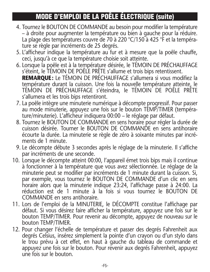### **MODE D'EMPLOI DE LA POÊLE ÉLECTRIQUE (suite)**

- 4. Tournez le BOUTON DE COMMANDE au besoin pour modifier la température – à droite pour augmenter la température ou bien à gauche pour la réduire. La plage des températures couvre de 70 à 220 °C/150 à 425 °F et la température se règle par incréments de 25 degrés.
- 5. L'afficheur indique la température au fur et à mesure que la poêle chauffe, ceci, jusqu'à ce que la température choisie soit atteinte.
- 6. Lorsque la poêle est à la température désirée, le TÉMOIN DE PRÉCHAUFFAGE s'éteint, le TÉMOIN DE POÊLE PRÊTE s'allume et trois bips retentissent. **REMARQUE:** Le TÉMOIN DE PRÉCHAUFFAGE s'allumera si vous modifiez la température durant la cuisson. Une fois la nouvelle température atteinte, le TÉMOIN DE PRÉCHAUFFAGE s'éteindra, le TÉMOIN DE POÊLE PRÊTE s'allumera et les trois bips retentiront.
- 7. La poêle intègre une minuterie numérique à décompte progressif. Pour passer au mode minuterie, appuyez une fois sur le bouton TEMP/TIMER (température/minuterie). L'afficheur indiquera 00:00 – le réglage par défaut.
- 8. Tournez le BOUTON DE COMMANDE en sens horaire pour régler la durée de cuisson désirée. Tourner le BOUTON DE COMMANDE en sens antihoraire écourte la durée. La minuterie se règle de zéro à soixante minutes par incréments de 1 minute.
- 9. Le décompte débute 3 secondes après le réglage de la minuterie. Il s'affiche par incréments de une seconde.
- 10. Lorsque le décompte atteint 00:00, l'appareil émet trois bips mais il continue à fonctionner à la température que vous avez sélectionnée. Le réglage de la minuterie peut se modifier par incréments de 1 minute durant la cuisson. Si, par exemple, vous tournez le BOUTON DE COMMANDE d'un clic en sens horaire alors que la minuterie indique 23:24, l'affichage passe à 24:00. La réduction est de 1 minute à la fois si vous tournez le BOUTON DE COMMANDE en sens antihoraire.
- 11. Lors de l'emploi de la MINUTERIE, le DÉCOMPTE constitue l'affichage par défaut. Si vous désirez faire afficher la température, appuyez une fois sur le bouton TEMP/TIMER. Pour revenir au décompte, appuyez de nouveau sur le bouton TEMP/TIMER.
- 12. Pour changer l'échelle de température et passer des degrés Fahrenheit aux degrés Celsius, insérez simplement la pointe d'un crayon ou d'un stylo dans le trou prévu à cet effet, en haut à gauche du tableau de commande et appuyez une fois sur le bouton. Pour revenir aux degrés Fahrenheit, appuyez une fois sur le bouton.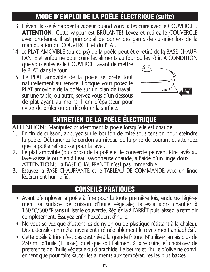### **MODE D'EMPLOI DE LA POÊLE ÉLECTRIQUE (suite)**

- 13. L'évent laisse échapper la vapeur quand vous faites cuire avec le COUVERCLE. **ATTENTION:** Cette vapeur est BRÛLANTE! Levez et retirez le COUVERCLE avec prudence. Il est primordial de porter des gants de cuisinier lors de la manipulation du COUVERCLE et du PLAT.
- 14. Le PLAT AMOVIBLE (ou corps) de la poêle peut être retiré de la BASE CHAUF-FANTE et enfourné pour cuire les aliments au four ou les rôtir, À CONDITION que vous enleviez le COUVERCLE avant de mettre le PLAT dans le four.
- 15. Le PLAT amovible de la poêle se prête tout naturellement au service. Lorsque vous posez le PLAT amovible de la poêle sur un plan de travail, sur une table, ou autre, servez-vous d'un dessous de plat ayant au moins 1 cm d'épaisseur pour éviter de brûler ou de décolorer la surface.



## **ENTRETIEN DE LA POÊLE ÉLECTRIQUE**

SIGMETIER DE EXTIGEN DESE ESSOTINGUE

- 1. En fin de cuisson, appuyez sur le bouton de mise sous tension pour éteindre la poêle. Débranchez le cordon au niveau de la prise de courant et attendez que la poêle refroidisse pour la laver.
- 2. Le plat amovible (ou corps) de la poêle et le couvercle peuvent être lavés au lave-vaisselle ou bien à l'eau savonneuse chaude, à l'aide d'un linge doux. ATTENTION: La BASE CHAUFFANTE n'est pas immersible.
- 3. Essuyez la BASE CHAUFFANTE et le TABLEAU DE COMMANDE avec un linge légèrement humidifié.

### **CONSEILS PRATIQUES**

- Avant d'employer la poêle à frire pour la toute première fois, enduisez légèrement sa surface de cuisson d'huile végétale; faites-la alors chauffer à 150 °C/300 °F sans utiliser le couvercle. Réglez-la à l'ARRÊT puis laissez-la refroidir complètement. Essuyez enfin l'excédent d'huile.
- Ne vous servez que d'ustensiles de nylon ou de plastique résistant à la chaleur. Des ustensiles en métal rayeraient irrémédiablement le revêtement antiadhésif.
- Cette poêle à frire n'est pas destinée à la grande friture. N'utilisez jamais plus de 250 mL d'huile (1 tasse), quel que soit l'aliment à faire cuire, et choisissez de préférence de l'huile végétale ou d'arachide. Le beurre et l'huile d'olive ne conviennent que pour faire sauter les aliments aux températures les plus basses.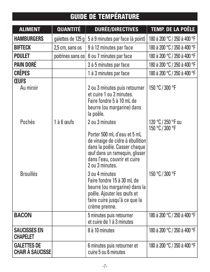## **GUIDE DE TEMPÉRATURE**

| <b>ALIMENT</b>                                | <b>QUANTITÉ</b>   | <b>DURÉE/DIRECTIVES</b>                                                                                                                                                                               | <b>TEMP. DE LA POÊLE</b>              |
|-----------------------------------------------|-------------------|-------------------------------------------------------------------------------------------------------------------------------------------------------------------------------------------------------|---------------------------------------|
| <b>HAMBURGERS</b>                             | galettes de 125 g | 5 à 9 minutes par face (à point)                                                                                                                                                                      | 180 à 200 °C / 350 à 400 °F           |
| <b>BIFTECK</b>                                | 2,5 cm, sans os   | 9 à 12 minutes par face                                                                                                                                                                               | 180 à 200 °C / 350 à 400 °F           |
| <b>POULET</b>                                 | poitrines sans os | 6 ou 7 minutes par face                                                                                                                                                                               | 180 à 200 °C / 350 à 400 °F           |
| <b>PAIN DORÉ</b>                              |                   | 3 à 5 minutes par face                                                                                                                                                                                | 180 à 200 °C / 350 à 400 °F           |
| <b>CRÊPES</b>                                 |                   | 1 à 3 minutes par face                                                                                                                                                                                | 180 à 200 °C / 350 à 400 °F           |
| <b>CEUFS</b><br>Au miroir                     |                   | 2 ou 3 minutes puis retourner<br>et cuire 1 ou 2 minutes.<br>Faire fondre 5 à 10 mL de<br>beurre (ou margarine) dans<br>la poêle.                                                                     | 150 °C / 300 °F                       |
| Pochés                                        | $1$ à 6 mufs      | 2 ou 3 minutes<br>Porter 500 mL d'eau et 5 mL<br>de vinaige de cidre à ébullition<br>dans la poêle. Casser chaque<br>œuf dans un ramequin, glisser<br>dans l'eau, couvrir et cuire<br>2 ou 3 minutes. | 120 °C / 250 °F ou<br>150 °C / 300 °F |
| <b>Brouillés</b>                              |                   | 3 ou 4 minutes<br>Faire fondre 15 à 30 mL de<br>beurre (ou margarine) dans la<br>poêle. Ajouter les œufs et<br>faire cuire jusqu'à ce que la<br>crème prenne.                                         | 150 °C / 300 °F                       |
| <b>BACON</b>                                  |                   | 5 minutes puis retourner<br>et cuire de 1 à 3 minutes                                                                                                                                                 | 180 à 200 °C / 350 à 400 °F           |
| <b>SAUCISSES EN</b><br><b>CHAPELET</b>        |                   | 8 à 10 minutes                                                                                                                                                                                        | 180 à 200 °C / 350 à 400 °F           |
| <b>GALETTES DE</b><br><b>CHAIR À SAUCISSE</b> |                   | 6 minutes puis retourner et<br>cuire 5 ou 6 minutes                                                                                                                                                   | 180 à 200 °C / 350 à 400 °F           |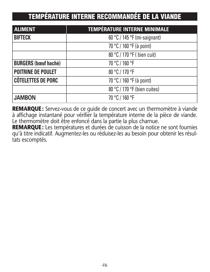### **TEMPÉRATURE INTERNE RECOMMANDÉE DE LA VIANDE**

| <b>ALIMENT</b>              | <b>TEMPÉRATURE INTERNE MINIMALE</b> |
|-----------------------------|-------------------------------------|
| <b>BIFTECK</b>              | $60 °C / 145 °F$ (mi-saignant)      |
|                             | 70 °C / 160 °F (à point)            |
|                             | 80 °C / 170 °F ( bien cuit)         |
| <b>BURGERS (bœuf haché)</b> | 70 °C / 160 °F                      |
| POITRINE DE POULET          | 80 °C / 170 °F                      |
| <b>CÔTELETTES DE PORC</b>   | 70 °C / 160 °F (à point)            |
|                             | 80 °C / 170 °F (bien cuites)        |
| <b>JAMBON</b>               | 70 °C / 160 °F                      |

**REMARQUE:** Servez-vous de ce guide de concert avec un thermomètre à viande à affichage instantané pour vérifier la température interne de la pièce de viande. Le thermomètre doit être enfoncé dans la partie la plus charnue.

**REMARQUE:** Les températures et durées de cuisson de la notice ne sont fournies qu'à titre indicatif. Augmentez-les ou réduisez-les au besoin pour obtenir les résul tats escomptés.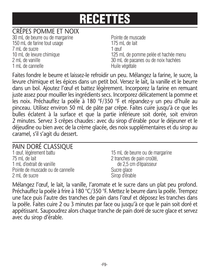#### CRÊPES POMME ET NOIX

30 mL de beurre ou de margarine entre province de muscade 150 mL de farine tout usage 175 mL de lait 7 mL de sucre 1 œuf 1 mL de cannelle et a control de Huile végétale

10 mL de levure chimique 125 mL de pomme pelée et hachée menu 2 mL de vanille 30 mL de pacanes ou de noix hachées

Faites fondre le beurre et laissez-le refroidir un peu. Mélangez la farine, le sucre, la levure chimique et les épices dans un petit bol. Versez le lait, la vanille et le beurre dans un bol. Ajoutez l'œuf et battez légèrement. Incorporez la farine en remuant juste assez pour mouiller les ingrédients secs. Incorporez délicatement la pomme et les noix. Préchauffez la poêle à 180 °F/350 °F et répandez-y un peu d'huile au pinceau. Utilisez environ 50 mL de pâte par crêpe. Faites cuire jusqu'à ce que les bulles éclatent à la surface et que la partie inférieure soit dorée, soit environ 2 minutes. Servez 3 crêpes chaudes: avec du sirop d'érable pour le déjeuner et le déjeudîne ou bien avec de la crème glacée, des noix supplémentaires et du sirop au caramel, s'il s'agit du dessert.

#### PAIN DORÉ CLASSIQUE

| 1 œuf, légèrement battu          | 15 mL de beurre ou de margarine |
|----------------------------------|---------------------------------|
| 75 mL de lait                    | 2 tranches de pain croûté,      |
| 1 mL d'extrait de vanille        | de 2,5 cm d'épaisseur           |
| Pointe de muscade ou de cannelle | Sucre glace                     |
| 2 mL de sucre                    | Sirop d'érable                  |

Mélangez l'œuf, le lait, la vanille, l'aromate et le sucre dans un plat peu profond. Préchauffez la poêle à frire à 180 °C/350 °F. Mettez le beurre dans la poêle. Trempez une face puis l'autre des tranches de pain dans l'œuf et déposez les tranches dans la poêle. Faites cuire 2 ou 3 minutes par face ou jusqu'à ce que le pain soit doré et appétissant. Saupoudrez alors chaque tranche de pain doré de sucre glace et servez avec du sirop d'érable.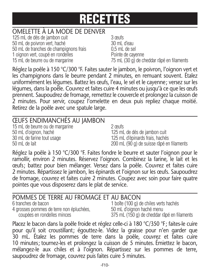#### OMELETTE À LA MODE DE DENVER

125 mL de dés de jambon cuit 3 œufs 50 mL de poivron vert, haché 30 mL d'eau 50 mL de tranches de champignons frais 0,5 mL de sel 1 oignon vert, coupé en rondelles Pointe de cayenne

15 mL de beurre ou de margarine 75 mL (30 g) de cheddar râpé en filaments

Réglez la poêle à 150 °C/300 °F. Faites sauter le jambon, le poivron, l'oignon vert et les champignons dans le beurre pendant 2 minutes, en remuant souvent. Étalez uniformément les légumes. Battez les œufs, l'eau, le sel et le cayenne; versez sur les légumes, dans la poêle. Couvrez et faites cuire 4 minutes ou jusqu'à ce que les œufs prennent. Saupoudrez de fromage, remettez le couvercle et prolongez la cuisson de 2 minutes. Pour servir, coupez l'omelette en deux puis repliez chaque moitié. Retirez de la poêle avec une spatule large.

#### ŒUFS ENDIMANCHÉS AU JAMBON 15 mL de beurre ou de margarine 2 œufs 50 mL d'oignon, haché 125 mL de dés de jambon cuit 30 mL de farine tout usage 125 mL d'épinards frais, hachés 50 mL de lait 200 mL (90 g) de suisse râpé en filaments

Réglez la poêle à 150 °C/300 °F. Faites fondre le beurre et sauter l'oignon pour le ramollir, environ 2 minutes. Réservez l'oignon. Combinez la farine, le lait et les œufs; battez pour bien mélanger. Versez dans la poêle. Couvrez et faites cuire 2 minutes. Répartissez le jambon, les épinards et l'oignon sur les œufs. Saupoudrez de fromage, couvrez et faites cuire 2 minutes. Coupez avec soin pour faire quatre pointes que vous disposerez dans le plat de service.

## **POMMES DE TERRE AU FROMAGE ET AU BACON**<br>6 tranches de bacon 1 boîte (100 g) d

4 grosses pommes de terre non épluchées, 50 mL d'oignon haché menu

1 boîte (100 g) de chiles verts hachés coupées en rondelles minces 375 mL (150 g) de cheddar râpé en filaments

Placez le bacon dans la poêle froide et réglez celle-ci à 180 °C/350 °F; faites-le cuire pour qu'il soit croustillant; égouttez-le. Videz la graisse pour n'en garder que 30 mL. Étalez les pommes de terre dans la poêle, couvrez et faites cuire 10 minutes; tournez-les et prolongez la cuisson de 5 minutes. Émiettez le bacon, mélangez-le aux chiles et à l'oignon. Répartissez sur les pommes de terre, saupoudrez de fromage, couvrez puis faites cuire 5 minutes.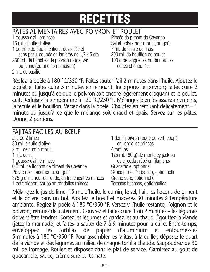## PÂTES ALIMENTAIRES AVEC POIVRON ET POULET<br>1 gousse d'ail, émincée

15 mL d'huile d'olive  $\sim$  Sel et poivre noir moulu, au goût 1 poitrine de poulet entière, désossée et 7 mL de fécule de maïs sans peau, coupée en lanières de 1,3 x 5 cm 200 mL de bouillon de poulet 250 mL de tranches de poivron rouge, vert 100 g de languettes ou de nouilles,

ou jaune (ou une combinaison) cuites et égouttées 2 mL de basilic

Pincée de piment de Cayenne

Réglez la poêle à 180 °C/350 °F. Faites sauter l'ail 2 minutes dans l'huile. Ajoutez le poulet et faites cuire 5 minutes en remuant. Incorporez le poivron; faites cuire 2 minutes ou jusqu'à ce que le poivron soit encore légèrement croquant et le poulet, cuit. Réduisez la température à 120 °C/250 °F. Mélangez bien les assaisonnements, la fécule et le bouillon. Versez dans la poêle. Chauffez en remuant délicatement – 1 minute ou jusqu'à ce que le mélange soit chaud et épais. Servez sur les pâtes. Donne 2 portions.

#### FAJITAS FACILES AU BŒUF

| Jus de 2 limes                                      |
|-----------------------------------------------------|
| 30 mL d'huile d'olive                               |
| 2 mL de cumin moulu                                 |
| 1 mL de sel                                         |
| 1 gousse d'ail, émincée                             |
| 0,5 mL de flocons de piment de Cayenne              |
| Poivre noir frais moulu, au goût                    |
| 375 g d'intérieur de ronde, en tranches très minces |
| 1 petit oignon, coupé en rondelles minces           |

1 demi-poivron rouge ou vert, coupé en rondelles minces 4 tortillas 125 mL (60 g) de monterey jack ou de cheddar, râpé en filaments Guacamole, optionnel Sauce pimentée (salsa), optionnelle Crème sure, optionnelle Tomates hachées, optionnelles

Mélangez le jus de lime, 15 mL d'huile, le cumin, le sel, l'ail, les flocons de piment et le poivre dans un bol. Ajoutez le bœuf et macérez 30 minutes à température ambiante. Réglez la poêle à 180 °C/350 °F. Versez-y l'huile restante, l'oignon et le poivron; remuez délicatement. Couvrez et faites cuire 1 ou 2 minutes – les légumes doivent être tendres. Sortez les légumes et gardez-les au chaud. Égouttez la viande (jetez la marinade) et faites-la sauter de 7 à 9 minutes pour la cuire. Entre-temps, enveloppez les tortillas de papier d'aluminium et enfournez-les 5 minutes à 180 °C/350 °F. Pour assembler les fajitas: à la cuiller, déposez le quart de la viande et des légumes au milieu de chaque tortilla chaude. Saupoudrez de 30 mL de fromage. Roulez et disposez dans le plat de service. Garnissez au goût de guacamole, sauce, crème sure ou tomate.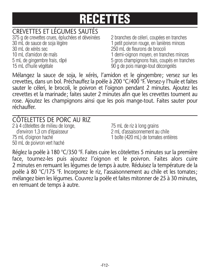### CREVETTES ET LÉGUMES SAUTÉS

 g de crevettes crues, épluchées et déveinées 2 branches de céleri, coupées en tranches 30 mL de sauce de soja légère 1 petit poivron rouge, en lanières minces mL de xérès sec 250 mL de fleurons de brocoli mL d'amidon de maïs 1 demi-oignon moyen, en tranches minces mL de gingembre frais, râpé 5 gros champignons frais, coupés en tranches mL d'huile végétale 90 g de pois mange-tout décongelés

Mélangez la sauce de soja, le xérès, l'amidon et le gingembre; versez sur les crevettes, dans un bol. Préchauffez la poêle à 200 °C/400 °F. Versez-y l'huile et faites sauter le céleri, le brocoli, le poivron et l'oignon pendant 2 minutes. Ajoutez les crevettes et la marinade; faites sauter 2 minutes afin que les crevettes tournent au rose. Ajoutez les champignons ainsi que les pois mange-tout. Faites sauter pour réchauffer.

| CÔTELETTES DE PORC AU RIZ            |                                      |
|--------------------------------------|--------------------------------------|
| 2 à 4 côtelettes de milieu de longe, | 75 mL de riz à long grains           |
| d'environ 1,3 cm d'épaisseur         | 2 mL d'assaisonnement au chile       |
| 75 mL d'oignon haché                 | 1 boîte (420 mL) de tomates entières |
| 50 mL de poivron vert haché          |                                      |

Réglez la poêle à 180 °C/350 °F. Faites cuire les côtelettes 5 minutes sur la première face, tournez-les puis ajoutez l'oignon et le poivron. Faites alors cuire 2 minutes en remuant les légumes de temps à autre. Réduisez la température de la poêle à 80 °C/175 °F. Incorporez le riz, l'assaisonnement au chile et les tomates; mélangez bien les légumes. Couvrez la poêle et faites mitonner de 25 à 30 minutes, en remuant de temps à autre.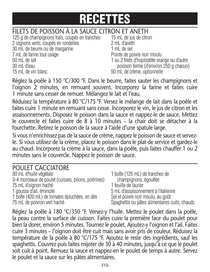## FILETS DE POISSON À LA SAUCE CITRON ET ANETH<br>125 a de championons frais, coupés en tranches 15 mL de jus de citron

125 g de champignons frais, coupés en tranches 2 oignons verts, coupés en rondelles 2 mL d'aneth 30 mL de beurre ou de margarine 1 mL de sel 7 mL de farine tout usage Pointe de poivre noir moulu 50 mL de lait 1 ou 2 filets d'hoplostète orange ou d'autre 30 mL d'eau poisson ferme (d'environ 250 g chacun) 15 mL de vin blanc 50 mL de crème, optionnelle

Réglez la poêle à 150 °C/300 °F. Dans le beurre, faites sauter les champignons et l'oignon 2 minutes, en remuant souvent. Incorporez la farine et faites cuire 1 minute sans cesser de remuer. Mélangez le lait et l'eau.

Réduisez la température à 80 °C/175 °F. Versez le mélange de lait dans la poêle et faites cuire 1 minute en remuant sans cesse. Incorporez le vin, le jus de citron et les assaisonnements. Disposez le poisson dans la sauce et nappez-le de sauce. Mettez le couvercle et faites cuire de 8 à 10 minutes – la chair doit se détacher à la fourchette. Retirez le poisson de la sauce à l'aide d'une spatule large.

Si vous n'enrichissez pas de la sauce de crème, nappez le poisson de sauce et servezle. Si vous utilisez de la crème, placez le poisson dans le plat de service et gardez-le au chaud. Incorporez la crème à la sauce, dans la poêle, puis faites chauffer 1 ou 2 minutes sans le couvercle. Nappez le poisson de sauce.

| POULET CACCIATORE                                   |                                                |
|-----------------------------------------------------|------------------------------------------------|
| 30 mL d'huile végétale                              | 1 boîte (125 mL) de tranches de                |
| 3-4 morceaux de poulet (cuisses, pilons, poitrines) | champignons, égouttée                          |
| 75 mL d'oignon haché                                | 1 feuille de laurier                           |
| 1 gousse d'ail, émincée                             | 5 mL d'assaisonnement à l'italienne            |
| 1 boîte (420 mL) de tomates épluchées, en dés       | Sel et poivre noir moulu, au goût              |
| 75 mL de poivron vert haché                         | Spaghettis ou pâtes alimentaires cuits, chauds |

Réglez la poêle à 180 °C/350 °F. Versez-y l'huile. Mettez le poulet dans la poêle, la peau contre la surface de cuisson. Faites cuire la première face du poulet pour bien la dorer, environ 5 minutes. Tournez le poulet. Ajoutez-y l'oignon et l'ail. Faites cuire 3 minutes – l'oignon doit être cuit mais sans avoir pris de couleur. Réduisez la température de la poêle à 80 °C/175 °F. Ajoutez le reste des ingrédients, sauf les spaghettis. Couvrez puis faites mijoter de 30 à 40 minutes, jusqu'à ce que le poulet soit cuit à point. Remuez la sauce et nappez-en le poulet de temps à autre. Servez le poulet et la sauce sur les pâtes alimentaires.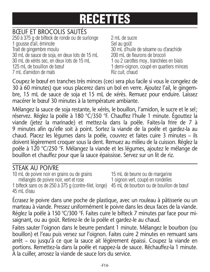#### BŒUF ET BROCOLIS SAUTÉS

250 à 375 g de bifteck de ronde ou de surlonge 2 mL de sucre 1 gousse d'ail, émincée  $\overline{\phantom{0}}$  Sel au goût Trait de gingembre moulu 30 mL d'huile de sésame ou d'arachide 30 mL de sauce de soja, en deux lots de 15 mL 200 mL de fleurons de brocoli 30 mL de xérès sec, en deux lots de 15 mL 1 ou 2 carottes moy., tranchées en biais 125 mL de bouillon de bœuf 1 demi-oignon, coupé en quartiers minces 7 mL d'amidon de maïs Riz cuit, chaud

Coupez le bœuf en tranches très minces (ceci sera plus facile si vous le congelez de 30 à 60 minutes) que vous placerez dans un bol en verre. Ajoutez l'ail, le gingembre, 15 mL de sauce de soja et 15 mL de xérès. Remuez pour enduire. Laissez macérer le bœuf 30 minutes à la température ambiante.

Mélangez la sauce de soja restante, le xérès, le bouillon, l'amidon, le sucre et le sel; réservez. Réglez la poêle à 180 °C/350 °F. Chauffez l'huile 1 minute. Égouttez la viande (jetez la marinade) et mettez-la dans la poêle. Faites-la frire de 7 à 9 minutes afin qu'elle soit à point. Sortez la viande de la poêle et gardez-la au chaud. Placez les légumes dans la poêle, couvrez et faites cuire 3 minutes – ils doivent légèrement croquer sous la dent. Remuez au milieu de la cuisson. Réglez la poêle à 120 °C/250 °F. Mélangez la viande et les légumes, ajoutez le mélange de bouillon et chauffez pour que la sauce épaississe. Servez sur un lit de riz.

#### STEAK AU POIVRE

10 mL de poivre noir en grains ou de grains 15 mL de beurre ou de margarine mélangés de poivre noir, vert et rose 1 oignon vert, coupé en rondelles 1 bifteck sans os de 250 à 375 g (contre-filet, longe) 45 mL de bourbon ou de bouillon de bœuf 45 mL d'eau

Écrasez le poivre dans une poche de plastique, avec un rouleau à pâtisserie ou un marteau à viande. Pressez uniformément le poivre dans les deux faces de la viande. Réglez la poêle à 150 °C/300 °F. Faites cuire le bifteck 7 minutes par face pour misaignant, ou au goût. Retirez-le de la poêle et gardez-le au chaud.

Faites sauter l'oignon dans le beurre pendant 1 minute. Mélangez le bourbon (ou bouillon) et l'eau puis versez sur l'oignon. Faites cuire 2 minutes en remuant sans arrêt – ou jusqu'à ce que la sauce ait légèrement épaissi. Coupez la viande en portions. Remettez-la dans la poêle et nappez-la de sauce. Réchauffez-la 1 minute. À la cuiller, arrosez la viande de sauce lors du service.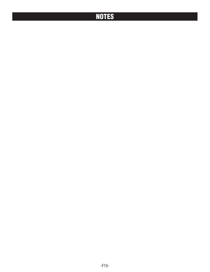### **NOTES**